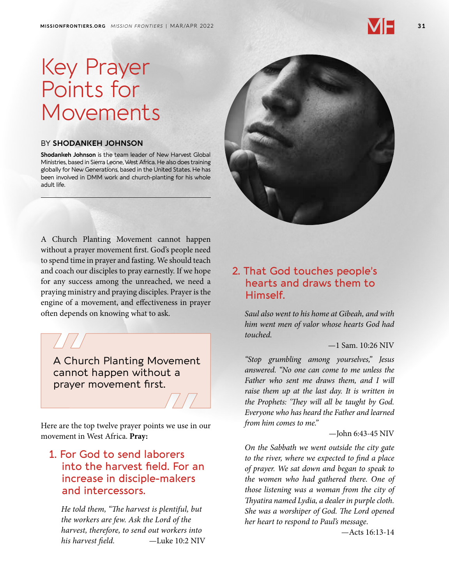## Key Prayer Points for Movements

#### BY **SHODANKEH JOHNSON**

**Shodankeh Johnson** is the team leader of New Harvest Global Ministries, based in Sierra Leone, West Africa. He also does training globally for New Generations, based in the United States. He has been involved in DMM work and church-planting for his whole adult life.

A Church Planting Movement cannot happen without a prayer movement first. God's people need to spend time in prayer and fasting. We should teach and coach our disciples to pray earnestly. If we hope for any success among the unreached, we need a praying ministry and praying disciples. Prayer is the engine of a movement, and effectiveness in prayer often depends on knowing what to ask.

A Church Planting Movement cannot happen without a prayer movement first.

Here are the top twelve prayer points we use in our movement in West Africa. **Pray:**

#### 1. For God to send laborers into the harvest field. For an increase in disciple-makers and intercessors.

*He told them, "The harvest is plentiful, but the workers are few. Ask the Lord of the harvest, therefore, to send out workers into his harvest field.* —Luke 10:2 NIV

#### 2. That God touches people's hearts and draws them to Himself.

*Saul also went to his home at Gibeah, and with him went men of valor whose hearts God had touched.*

#### —1 Sam. 10:26 NIV

*"Stop grumbling among yourselves," Jesus answered. "No one can come to me unless the Father who sent me draws them, and I will raise them up at the last day. It is written in the Prophets: 'They will all be taught by God. Everyone who has heard the Father and learned from him comes to me."*

#### —John 6:43-45 NIV

*On the Sabbath we went outside the city gate to the river, where we expected to find a place of prayer. We sat down and began to speak to the women who had gathered there. One of those listening was a woman from the city of Thyatira named Lydia, a dealer in purple cloth. She was a worshiper of God. The Lord opened her heart to respond to Paul's message*.

—Acts 16:13-14

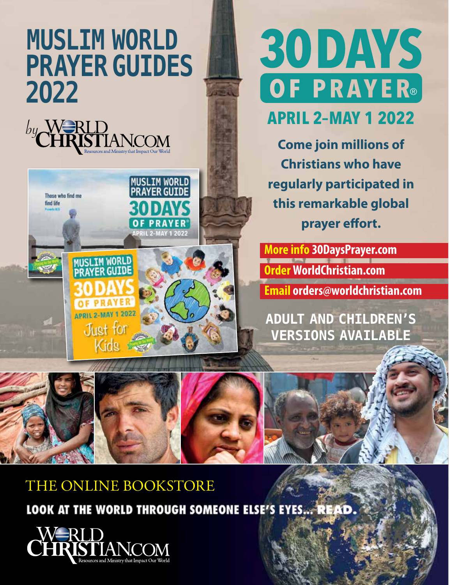## **MUSLIM WORLD PRAYER GUIDES 2O22**





# 30 DAYS OF PRAYER®

**APRIL 2–MAY 1 2022**

**Come join millions of Christians who have regularly participated in this remarkable global prayer effort.**

**More info 30DaysPrayer.com Order WorldChristian.com Email orders@worldchristian.com**

**ADULT AND CHILDREN'S VERSIONS AVAILABLE**









### THE ONLINE BOOKSTORE

LOOK AT THE WORLD THROUGH SOMEONE ELSE'S EYES... READ.

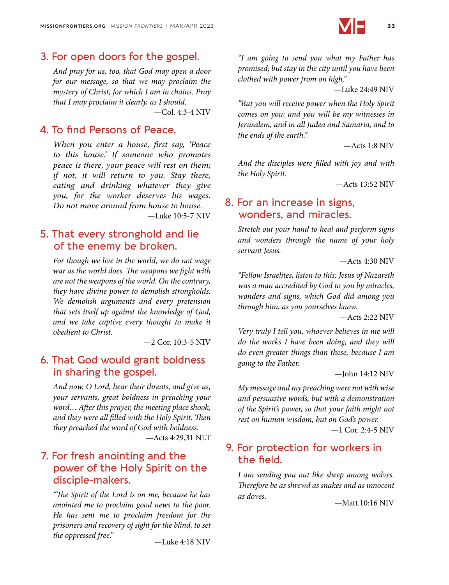

#### 3. For open doors for the gospel.

*And pray for us, too, that God may open a door for our message, so that we may proclaim the mystery of Christ, for which I am in chains. Pray that I may proclaim it clearly, as I should.*

—Col. 4:3-4 NIV

#### 4. To find Persons of Peace.

*When you enter a house, first say, 'Peace to this house.' If someone who promotes peace is there, your peace will rest on them; if not, it will return to you. Stay there, eating and drinking whatever they give you, for the worker deserves his wages. Do not move around from house to house.* —Luke 10:5-7 NIV

#### 5. That every stronghold and lie of the enemy be broken.

*For though we live in the world, we do not wage war as the world does. The weapons we fight with are not the weapons of the world. On the contrary, they have divine power to demolish strongholds. We demolish arguments and every pretension that sets itself up against the knowledge of God, and we take captive every thought to make it obedient to Christ.*

—2 Cor. 10:3-5 NIV

#### 6. That God would grant boldness in sharing the gospel.

*And now, O Lord, hear their threats, and give us, your servants, great boldness in preaching your word… After this prayer, the meeting place shook, and they were all filled with the Holy Spirit. Then they preached the word of God with boldness.*

—Acts 4:29,31 NLT

#### 7. For fresh anointing and the power of the Holy Spirit on the disciple-makers.

*"The Spirit of the Lord is on me, because he has anointed me to proclaim good news to the poor. He has sent me to proclaim freedom for the prisoners and recovery of sight for the blind, to set the oppressed free."* —Luke 4:18 NIV

*"I am going to send you what my Father has promised; but stay in the city until you have been clothed with power from on high."*

—Luke 24:49 NIV

*"But you will receive power when the Holy Spirit comes on you; and you will be my witnesses in Jerusalem, and in all Judea and Samaria, and to the ends of the earth."*

—Acts 1:8 NIV

*And the disciples were filled with joy and with the Holy Spirit.*

—Acts 13:52 NIV

#### 8. For an increase in signs, wonders, and miracles.

*Stretch out your hand to heal and perform signs and wonders through the name of your holy servant Jesus.*

—Acts 4:30 NIV

*"Fellow Israelites, listen to this: Jesus of Nazareth was a man accredited by God to you by miracles, wonders and signs, which God did among you through him, as you yourselves know.*

—Acts 2:22 NIV

*Very truly I tell you, whoever believes in me will do the works I have been doing, and they will do even greater things than these, because I am going to the Father.*

—John 14:12 NIV

*My message and my preaching were not with wise and persuasive words, but with a demonstration of the Spirit's power, so that your faith might not rest on human wisdom, but on God's power.*

 $-1$  Cor. 2:4-5 NIV

#### 9. For protection for workers in the field.

*I am sending you out like sheep among wolves. Therefore be as shrewd as snakes and as innocent as doves.* ——Matt.10:16 NIV